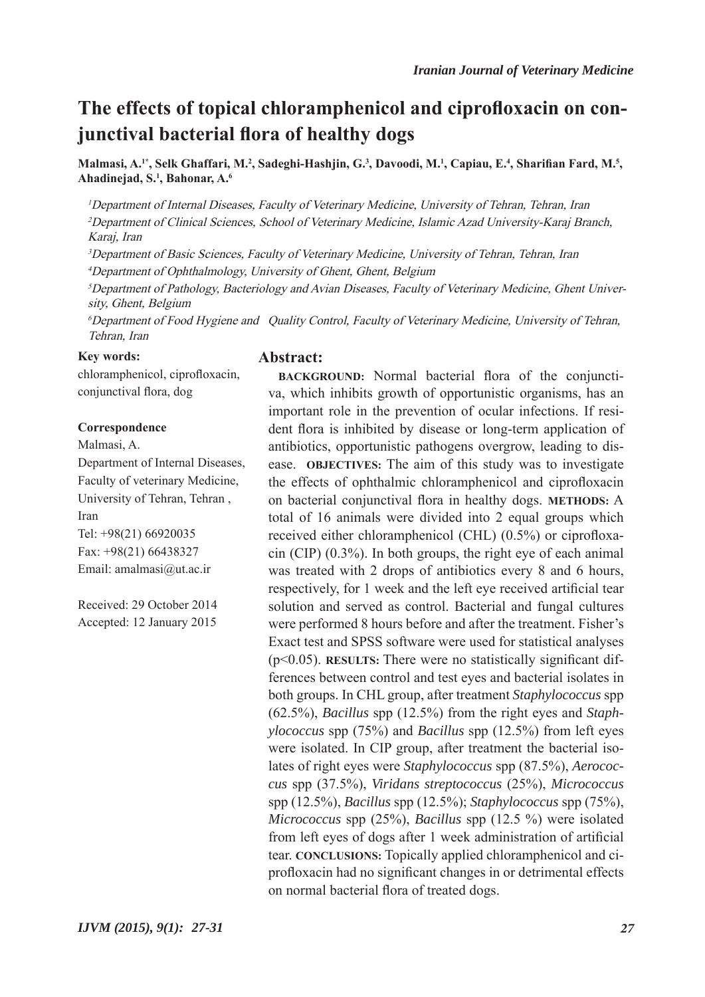# **The effects of topical chloramphenicol and ciprofloxacin on conjunctival bacterial flora of healthy dogs**

Malmasi, A.<sup>1\*</sup>, Selk Ghaffari, M.<sup>2</sup>, Sadeghi-Hashjin, G.<sup>3</sup>, Davoodi, M.<sup>1</sup>, Capiau, E.<sup>4</sup>, Sharifian Fard, M.<sup>5</sup>, **Ahadinejad, S.1 , Bahonar, A.6**

<sup>1</sup>Department of Internal Diseases, Faculty of Veterinary Medicine, University of Tehran, Tehran, Iran <sup>2</sup>Department of Clinical Sciences, School of Veterinary Medicine, Islamic Azad University-Karaj Branch, Karaj, Iran

<sup>3</sup>Department of Basic Sciences, Faculty of Veterinary Medicine, University of Tehran, Tehran, Iran <sup>4</sup>Department of Ophthalmology, University of Ghent, Ghent, Belgium

5Department of Pathology, Bacteriology and Avian Diseases, Faculty of Veterinary Medicine, Ghent University, Ghent, Belgium

<sup>6</sup>Department of Food Hygiene and Quality Control, Faculty of Veterinary Medicine, University of Tehran, Tehran, Iran

#### **Key words:**

chloramphenicol, ciprofloxacin, conjunctival flora, dog

#### **Correspondence**

Malmasi, A. Department of Internal Diseases, Faculty of veterinary Medicine, University of Tehran, Tehran , Iran Tel: +98(21) 66920035 Fax: +98(21) 66438327 Email: amalmasi@ut.ac.ir

Received: 29 October 2014 Accepted: 12 January 2015 **Abstract:**

**BACKGROUND:** Normal bacterial flora of the conjunctiva, which inhibits growth of opportunistic organisms, has an important role in the prevention of ocular infections. If resident flora is inhibited by disease or long-term application of antibiotics, opportunistic pathogens overgrow, leading to disease. **OBJECTIVES:** The aim of this study was to investigate the effects of ophthalmic chloramphenicol and ciprofloxacin on bacterial conjunctival flora in healthy dogs. **METHODS:** A total of 16 animals were divided into 2 equal groups which received either chloramphenicol (CHL) (0.5%) or ciprofloxacin (CIP) (0.3%). In both groups, the right eye of each animal was treated with 2 drops of antibiotics every 8 and 6 hours, respectively, for 1 week and the left eye received artificial tear solution and served as control. Bacterial and fungal cultures were performed 8 hours before and after the treatment. Fisher's Exact test and SPSS software were used for statistical analyses (p<0.05). **RESULTS:** There were no statistically significant differences between control and test eyes and bacterial isolates in both groups. In CHL group, after treatment *Staphylococcus* spp (62.5%), *Bacillus* spp (12.5%) from the right eyes and *Staphylococcus* spp (75%) and *Bacillus* spp (12.5%) from left eyes were isolated. In CIP group, after treatment the bacterial isolates of right eyes were *Staphylococcus* spp (87.5%), *Aerococcus* spp (37.5%), *Viridans streptococcus* (25%), *Micrococcus*  spp (12.5%), *Bacillus* spp (12.5%); *Staphylococcus* spp (75%), *Micrococcus* spp (25%), *Bacillus* spp (12.5 %) were isolated from left eyes of dogs after 1 week administration of artificial tear. **CONCLUSIONS:** Topically applied chloramphenicol and ciprofloxacin had no significant changes in or detrimental effects on normal bacterial flora of treated dogs.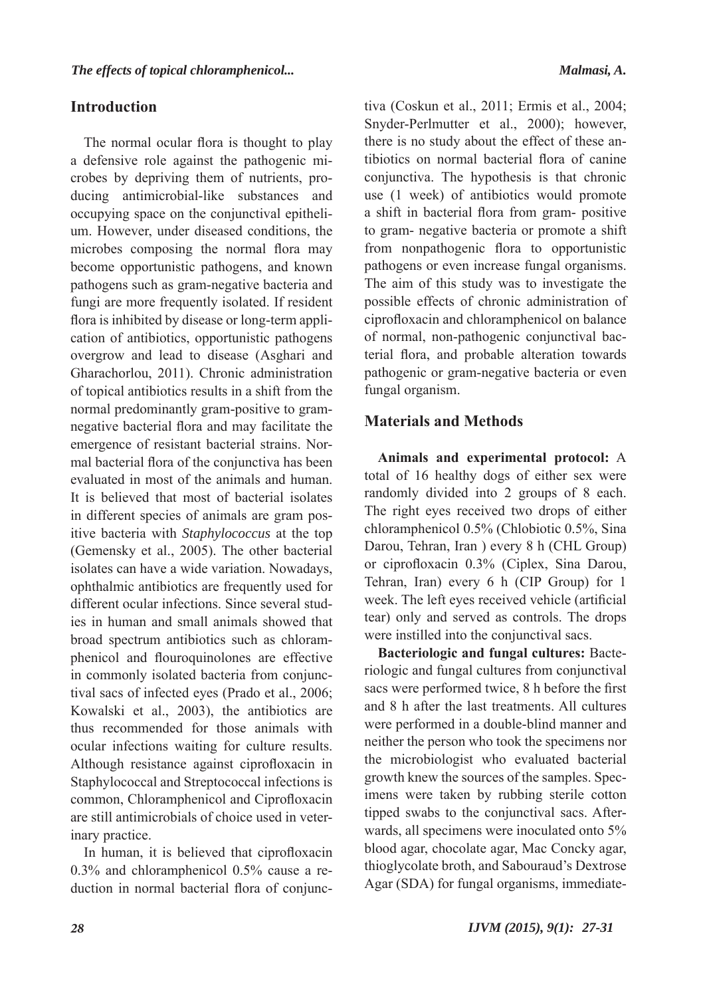## **Introduction**

The normal ocular flora is thought to play a defensive role against the pathogenic microbes by depriving them of nutrients, producing antimicrobial-like substances and occupying space on the conjunctival epithelium. However, under diseased conditions, the microbes composing the normal flora may become opportunistic pathogens, and known pathogens such as gram-negative bacteria and fungi are more frequently isolated. If resident flora is inhibited by disease or long-term application of antibiotics, opportunistic pathogens overgrow and lead to disease (Asghari and Gharachorlou, 2011). Chronic administration of topical antibiotics results in a shift from the normal predominantly gram-positive to gramnegative bacterial flora and may facilitate the emergence of resistant bacterial strains. Normal bacterial flora of the conjunctiva has been evaluated in most of the animals and human. It is believed that most of bacterial isolates in different species of animals are gram positive bacteria with *Staphylococcus* at the top (Gemensky et al., 2005). The other bacterial isolates can have a wide variation. Nowadays, ophthalmic antibiotics are frequently used for different ocular infections. Since several studies in human and small animals showed that broad spectrum antibiotics such as chloramphenicol and flouroquinolones are effective in commonly isolated bacteria from conjunctival sacs of infected eyes (Prado et al., 2006; Kowalski et al., 2003), the antibiotics are thus recommended for those animals with ocular infections waiting for culture results. Although resistance against ciprofloxacin in Staphylococcal and Streptococcal infections is common, Chloramphenicol and Ciprofloxacin are still antimicrobials of choice used in veterinary practice.

In human, it is believed that ciprofloxacin 0.3% and chloramphenicol 0.5% cause a reduction in normal bacterial flora of conjunctiva (Coskun et al., 2011; Ermis et al., 2004; Snyder-Perlmutter et al., 2000); however, there is no study about the effect of these antibiotics on normal bacterial flora of canine conjunctiva. The hypothesis is that chronic use (1 week) of antibiotics would promote a shift in bacterial flora from gram- positive to gram- negative bacteria or promote a shift from nonpathogenic flora to opportunistic pathogens or even increase fungal organisms. The aim of this study was to investigate the possible effects of chronic administration of ciprofloxacin and chloramphenicol on balance of normal, non-pathogenic conjunctival bacterial flora, and probable alteration towards pathogenic or gram-negative bacteria or even fungal organism.

## **Materials and Methods**

**Animals and experimental protocol:** A total of 16 healthy dogs of either sex were randomly divided into 2 groups of 8 each. The right eyes received two drops of either chloramphenicol 0.5% (Chlobiotic 0.5%, Sina Darou, Tehran, Iran ) every 8 h (CHL Group) or ciprofloxacin 0.3% (Ciplex, Sina Darou, Tehran, Iran) every 6 h (CIP Group) for 1 week. The left eyes received vehicle (artificial tear) only and served as controls. The drops were instilled into the conjunctival sacs.

**Bacteriologic and fungal cultures:** Bacteriologic and fungal cultures from conjunctival sacs were performed twice, 8 h before the first and 8 h after the last treatments. All cultures were performed in a double-blind manner and neither the person who took the specimens nor the microbiologist who evaluated bacterial growth knew the sources of the samples. Specimens were taken by rubbing sterile cotton tipped swabs to the conjunctival sacs. Afterwards, all specimens were inoculated onto 5% blood agar, chocolate agar, Mac Concky agar, thioglycolate broth, and Sabouraud's Dextrose Agar (SDA) for fungal organisms, immediate-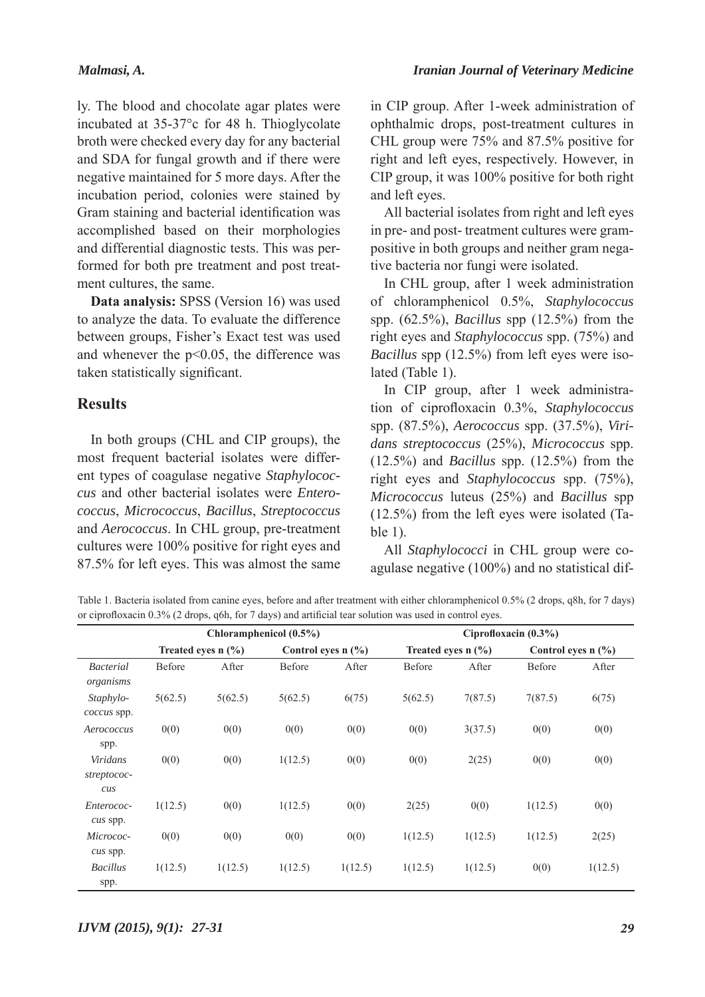ly. The blood and chocolate agar plates were incubated at 35-37°c for 48 h. Thioglycolate broth were checked every day for any bacterial and SDA for fungal growth and if there were negative maintained for 5 more days. After the incubation period, colonies were stained by Gram staining and bacterial identification was accomplished based on their morphologies and differential diagnostic tests. This was performed for both pre treatment and post treatment cultures, the same.

**Data analysis:** SPSS (Version 16) was used to analyze the data. To evaluate the difference between groups, Fisher's Exact test was used and whenever the p<0.05, the difference was taken statistically significant.

### **Results**

In both groups (CHL and CIP groups), the most frequent bacterial isolates were different types of coagulase negative *Staphylococcus* and other bacterial isolates were *Enterococcus*, *Micrococcus*, *Bacillus*, *Streptococcus* and *Aerococcus*. In CHL group, pre-treatment cultures were 100% positive for right eyes and 87.5% for left eyes. This was almost the same in CIP group. After 1-week administration of ophthalmic drops, post-treatment cultures in CHL group were 75% and 87.5% positive for right and left eyes, respectively. However, in CIP group, it was 100% positive for both right and left eyes.

All bacterial isolates from right and left eyes in pre- and post- treatment cultures were grampositive in both groups and neither gram negative bacteria nor fungi were isolated.

In CHL group, after 1 week administration of chloramphenicol 0.5%, *Staphylococcus* spp. (62.5%), *Bacillus* spp (12.5%) from the right eyes and *Staphylococcus* spp. (75%) and *Bacillus* spp (12.5%) from left eyes were isolated (Table 1).

In CIP group, after 1 week administration of ciprofloxacin 0.3%, *Staphylococcus* spp. (87.5%), *Aerococcus* spp. (37.5%), *Viridans streptococcus* (25%), *Micrococcus* spp. (12.5%) and *Bacillus* spp. (12.5%) from the right eyes and *Staphylococcus* spp. (75%), *Micrococcus* luteus (25%) and *Bacillus* spp (12.5%) from the left eyes were isolated (Table 1).

All *Staphylococci* in CHL group were coagulase negative (100%) and no statistical dif-

Table 1. Bacteria isolated from canine eyes, before and after treatment with either chloramphenicol 0.5% (2 drops, q8h, for 7 days) or ciprofloxacin 0.3% (2 drops, q6h, for 7 days) and artificial tear solution was used in control eyes.

|                                                                  | Chloramphenicol $(0.5\%)$ |         |                      |         | Ciprofloxacin $(0.3\%)$ |         |                      |         |
|------------------------------------------------------------------|---------------------------|---------|----------------------|---------|-------------------------|---------|----------------------|---------|
|                                                                  | Treated eyes $n$ (%)      |         | Control eyes $n$ (%) |         | Treated eyes $n$ (%)    |         | Control eyes $n$ (%) |         |
| <b>Bacterial</b><br>organisms                                    | <b>Before</b>             | After   | Before               | After   | Before                  | After   | Before               | After   |
| Staphylo-<br>coccus spp.                                         | 5(62.5)                   | 5(62.5) | 5(62.5)              | 6(75)   | 5(62.5)                 | 7(87.5) | 7(87.5)              | 6(75)   |
| Aerococcus<br>spp.                                               | 0(0)                      | 0(0)    | 0(0)                 | 0(0)    | 0(0)                    | 3(37.5) | 0(0)                 | 0(0)    |
| Viridans<br>streptococ-<br>$\mathcal{C} \mathcal{U} \mathcal{S}$ | 0(0)                      | 0(0)    | 1(12.5)              | 0(0)    | 0(0)                    | 2(25)   | 0(0)                 | 0(0)    |
| Enterococ-<br>cus spp.                                           | 1(12.5)                   | 0(0)    | 1(12.5)              | 0(0)    | 2(25)                   | 0(0)    | 1(12.5)              | 0(0)    |
| Micrococ-<br>cus spp.                                            | 0(0)                      | 0(0)    | 0(0)                 | 0(0)    | 1(12.5)                 | 1(12.5) | 1(12.5)              | 2(25)   |
| <b>Bacillus</b><br>spp.                                          | 1(12.5)                   | 1(12.5) | 1(12.5)              | 1(12.5) | 1(12.5)                 | 1(12.5) | 0(0)                 | 1(12.5) |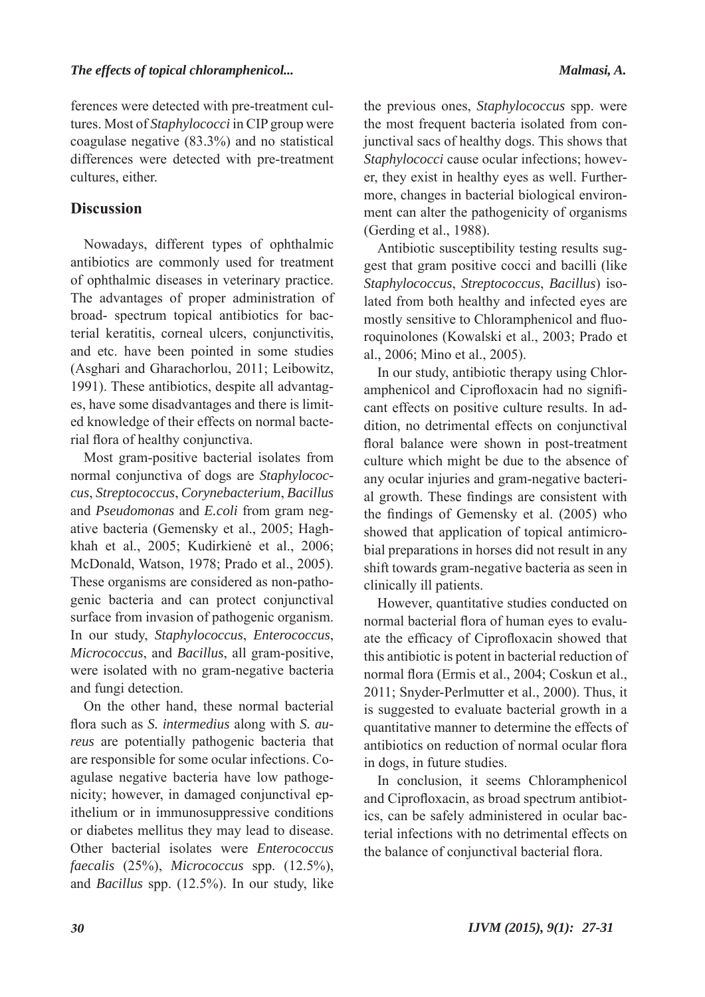ferences were detected with pre-treatment cultures. Most of *Staphylococci* in CIP group were coagulase negative (83.3%) and no statistical differences were detected with pre-treatment cultures, either.

# **Discussion**

Nowadays, different types of ophthalmic antibiotics are commonly used for treatment of ophthalmic diseases in veterinary practice. The advantages of proper administration of broad- spectrum topical antibiotics for bacterial keratitis, corneal ulcers, conjunctivitis, and etc. have been pointed in some studies (Asghari and Gharachorlou, 2011; Leibowitz, 1991). These antibiotics, despite all advantages, have some disadvantages and there is limited knowledge of their effects on normal bacterial flora of healthy conjunctiva.

Most gram-positive bacterial isolates from normal conjunctiva of dogs are *Staphylococcus*, *Streptococcus*, *Corynebacterium*, *Bacillus* and *Pseudomonas* and *E.coli* from gram negative bacteria (Gemensky et al., 2005; Haghkhah et al., 2005; Kudirkienė et al., 2006; McDonald, Watson, 1978; Prado et al., 2005). These organisms are considered as non-pathogenic bacteria and can protect conjunctival surface from invasion of pathogenic organism. In our study, *Staphylococcus*, *Enterococcus*, *Micrococcus*, and *Bacillus*, all gram-positive, were isolated with no gram-negative bacteria and fungi detection.

On the other hand, these normal bacterial flora such as *S. intermedius* along with *S. aureus* are potentially pathogenic bacteria that are responsible for some ocular infections. Coagulase negative bacteria have low pathogenicity; however, in damaged conjunctival epithelium or in immunosuppressive conditions or diabetes mellitus they may lead to disease. Other bacterial isolates were *Enterococcus faecalis* (25%), *Micrococcus* spp. (12.5%), and *Bacillus* spp. (12.5%). In our study, like

the previous ones, *Staphylococcus* spp. were the most frequent bacteria isolated from conjunctival sacs of healthy dogs. This shows that *Staphylococci* cause ocular infections; however, they exist in healthy eyes as well. Furthermore, changes in bacterial biological environment can alter the pathogenicity of organisms (Gerding et al., 1988).

Antibiotic susceptibility testing results suggest that gram positive cocci and bacilli (like *Staphylococcus*, *Streptococcus*, *Bacillus*) isolated from both healthy and infected eyes are mostly sensitive to Chloramphenicol and fluoroquinolones (Kowalski et al., 2003; Prado et al., 2006; Mino et al., 2005).

In our study, antibiotic therapy using Chloramphenicol and Ciprofloxacin had no significant effects on positive culture results. In addition, no detrimental effects on conjunctival floral balance were shown in post-treatment culture which might be due to the absence of any ocular injuries and gram-negative bacterial growth. These findings are consistent with the findings of Gemensky et al. (2005) who showed that application of topical antimicrobial preparations in horses did not result in any shift towards gram-negative bacteria as seen in clinically ill patients.

However, quantitative studies conducted on normal bacterial flora of human eyes to evaluate the efficacy of Ciprofloxacin showed that this antibiotic is potent in bacterial reduction of normal flora (Ermis et al., 2004; Coskun et al., 2011; Snyder-Perlmutter et al., 2000). Thus, it is suggested to evaluate bacterial growth in a quantitative manner to determine the effects of antibiotics on reduction of normal ocular flora in dogs, in future studies.

In conclusion, it seems Chloramphenicol and Ciprofloxacin, as broad spectrum antibiotics, can be safely administered in ocular bacterial infections with no detrimental effects on the balance of conjunctival bacterial flora.